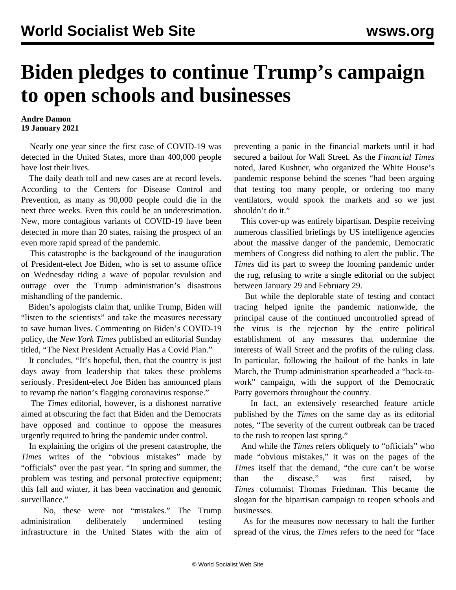## **Biden pledges to continue Trump's campaign to open schools and businesses**

## **Andre Damon 19 January 2021**

 Nearly one year since the first case of COVID-19 was detected in the United States, more than 400,000 people have lost their lives.

 The daily death toll and new cases are at record levels. According to the Centers for Disease Control and Prevention, as many as 90,000 people could die in the next three weeks. Even this could be an underestimation. New, more contagious variants of COVID-19 have been detected in more than 20 states, raising the prospect of an even more rapid spread of the pandemic.

 This catastrophe is the background of the inauguration of President-elect Joe Biden, who is set to assume office on Wednesday riding a wave of popular revulsion and outrage over the Trump administration's disastrous mishandling of the pandemic.

 Biden's apologists claim that, unlike Trump, Biden will "listen to the scientists" and take the measures necessary to save human lives. Commenting on Biden's COVID-19 policy, the *New York Times* published an editorial Sunday titled, "The Next President Actually Has a Covid Plan."

 It concludes, "It's hopeful, then, that the country is just days away from leadership that takes these problems seriously. President-elect Joe Biden has announced plans to revamp the nation's flagging coronavirus response."

 The *Times* editorial, however, is a dishonest narrative aimed at obscuring the fact that Biden and the Democrats have opposed and continue to oppose the measures urgently required to bring the pandemic under control.

 In explaining the origins of the present catastrophe, the *Times* writes of the "obvious mistakes" made by "officials" over the past year. "In spring and summer, the problem was testing and personal protective equipment; this fall and winter, it has been vaccination and genomic surveillance."

 No, these were not "mistakes." The Trump administration deliberately undermined testing infrastructure in the United States with the aim of preventing a panic in the financial markets until it had secured a bailout for Wall Street. As the *Financial Times* noted, Jared Kushner, who organized the White House's pandemic response behind the scenes "had been arguing that testing too many people, or ordering too many ventilators, would spook the markets and so we just shouldn't do it."

 This cover-up was entirely bipartisan. Despite receiving numerous classified briefings by US intelligence agencies about the massive danger of the pandemic, Democratic members of Congress did nothing to alert the public. The *Times* did its part to sweep the looming pandemic under the rug, refusing to write a single editorial on the subject between January 29 and February 29.

 But while the deplorable state of testing and contact tracing helped ignite the pandemic nationwide, the principal cause of the continued uncontrolled spread of the virus is the rejection by the entire political establishment of any measures that undermine the interests of Wall Street and the profits of the ruling class. In particular, following the bailout of the banks in late March, the Trump administration spearheaded a "back-towork" campaign, with the support of the Democratic Party governors throughout the country.

 In fact, an extensively researched feature article published by the *Times* on the same day as its editorial notes, "The severity of the current outbreak can be traced to the rush to reopen last spring."

 And while the *Times* refers obliquely to "officials" who made "obvious mistakes," it was on the pages of the *Times* itself that the demand, "the cure can't be worse than the disease," was first raised, by *Times* columnist Thomas Friedman. This became the slogan for the bipartisan campaign to reopen schools and businesses.

 As for the measures now necessary to halt the further spread of the virus, the *Times* refers to the need for "face